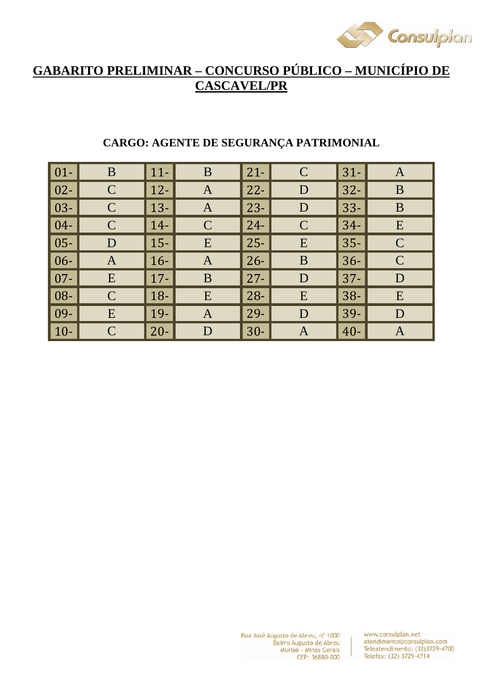

# **GABARITO PRELIMINAR – CONCURSO PÚBLICO – MUNICÍPIO DE CASCAVEL/PR**

| $01-$  | B            | $11-$       | B                 | $21 -$ | $\mathbf C$   | $31-$  | $\mathbf{A}$  |
|--------|--------------|-------------|-------------------|--------|---------------|--------|---------------|
| $02 -$ | $\mathbf C$  | $\vert$ 12- | $\bm{\mathsf{A}}$ | $22 -$ | D             | $32 -$ | B             |
| $03 -$ | $\mathsf{C}$ | $13 -$      | $\mathbf{A}$      | $23 -$ | D             | $33 -$ | B             |
| $04 -$ | $\mathsf{C}$ | $14-$       | $\mathcal{C}$     | $24 -$ | $\mathcal{C}$ | $34-$  | E             |
| $05 -$ | D            | $15 -$      | E                 | $25 -$ | E             | $35 -$ | $\mathbf C$   |
| $06 -$ | $\mathbf{A}$ | $16-$       | $\mathbf{A}$      | $26 -$ | B             | $36-$  | $\mathcal{C}$ |
| $07 -$ | E            | $\vert$ 17- | B                 | $27 -$ | D             | $37 -$ | D             |
| 08-    | $\mathsf{C}$ | $18-$       | E                 | $28 -$ | E             | $38-$  | E             |
| 09-    | E            | $19-$       | $\mathbf{A}$      | 29-    | D             | $39-$  | D             |
| $10-$  | $\mathsf{C}$ | $20 -$      | D                 | $30-$  | A             | $40 -$ | A             |

## **CARGO: AGENTE DE SEGURANÇA PATRIMONIAL**

Rua José Augusto de Abreu, nº 1000 Bairro Augusto de Abreu Muriaé - Minas Gerais CEP: 36880-000

www.consulplan.net atendimento@consulplan.com Teleatendimento: (32)3729-4700 Telefax: (32) 3729-4714

 $\overline{1}$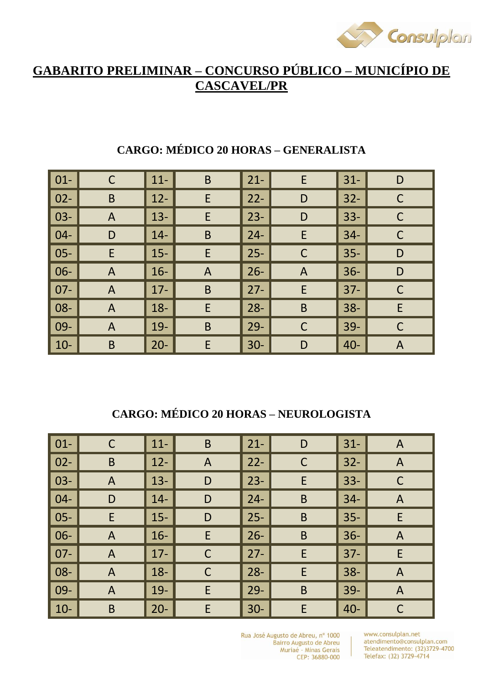

# **GABARITO PRELIMINAR – CONCURSO PÚBLICO – MUNICÍPIO DE CASCAVEL/PR**

| $01 -$ | $\mathsf C$    | $11 -$ | $\mathsf B$  | $21 -$ | E            | $31 -$ | D           |
|--------|----------------|--------|--------------|--------|--------------|--------|-------------|
| $02 -$ | $\mathsf B$    | $12 -$ | E            | $22 -$ | D            | $32 -$ | $\mathsf C$ |
| $03 -$ | $\mathsf{A}$   | $13 -$ | E            | $23 -$ | D            | $33 -$ |             |
| $04 -$ | D              | $14-$  | $\mathsf B$  | $24 -$ | E            | $34-$  | $\mathsf C$ |
| $05 -$ | E              | $15 -$ | E            | $25 -$ | $\mathsf C$  | $35 -$ | D           |
| 06-    | $\overline{A}$ | $16 -$ | $\mathsf{A}$ | $26 -$ | $\mathsf{A}$ | $36 -$ | D           |
| $07 -$ | $\mathsf{A}$   | $17 -$ | $\mathsf B$  | $27 -$ | E            | $37 -$ | $\mathsf C$ |
| 08-    | $\overline{A}$ | $18 -$ | E            | $28 -$ | $\mathsf B$  | $38 -$ | E           |
| 09-    | $\mathsf{A}$   | $19-$  | $\mathsf B$  | $29 -$ | $\mathsf C$  | $39 -$ | $\mathsf C$ |
| $10-$  | $\mathsf B$    | $20 -$ | E            | $30-$  | D            | $40 -$ | A           |

# **CARGO: MÉDICO 20 HORAS – GENERALISTA**

# **CARGO: MÉDICO 20 HORAS – NEUROLOGISTA**

| $\vert$ 01- | C              | $11 -$ | $\mathsf B$  | $21 -$ | D           | $31 -$ | A              |
|-------------|----------------|--------|--------------|--------|-------------|--------|----------------|
| $\vert$ 02- | $\mathsf B$    | $12 -$ | $\mathsf{A}$ | $22 -$ | $\mathsf C$ | $32 -$ | $\mathsf{A}$   |
| $\vert$ 03- | A              | $13 -$ | D            | $23 -$ | E.          | $33 -$ | $\mathsf C$    |
| $ 04-$      | D              | $14-$  | D            | $24 -$ | B           | $34-$  | $\mathsf{A}$   |
| $\vert$ 05- | E              | $15 -$ | D            | $25 -$ | $\mathsf B$ | $35 -$ | E              |
| $\vert$ 06- | A              | $16 -$ | E            | $26 -$ | B           | $36 -$ | $\mathsf{A}$   |
| $\vert$ 07- | A              | $17-$  | $\mathsf C$  | $27 -$ | E           | $37 -$ | E              |
| $\vert$ 08- | $\overline{A}$ | $18 -$ | $\mathsf C$  | $28 -$ | E           | $38 -$ | $\overline{A}$ |
| $\mid$ 09-  | A              | $19-$  | E            | $29 -$ | B           | $39 -$ | $\mathsf{A}$   |
| $ 10-$      | B              | $20 -$ | E            | $30 -$ | E.          | $40 -$ | $\mathsf C$    |

Rua José Augusto de Abreu, nº 1000 Bairro Augusto de Abreu Muriaé - Minas Gerais CEP: 36880-000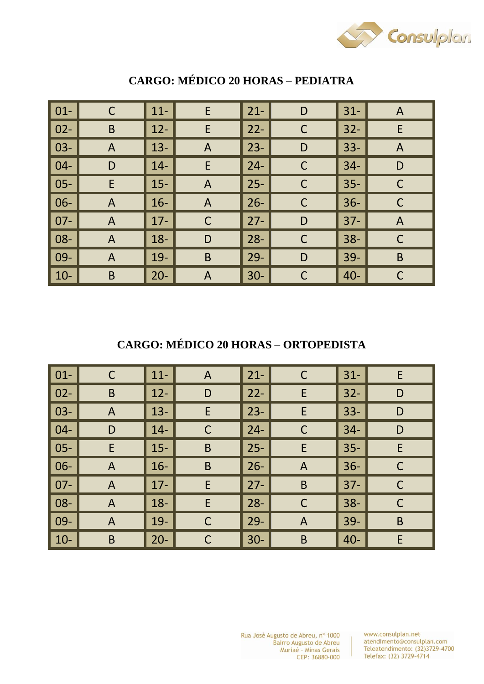

| $01 -$ | $\mathsf C$  | $11 -$ | E                         | $21 -$ | D            | $31 -$ | $\mathsf{A}$   |
|--------|--------------|--------|---------------------------|--------|--------------|--------|----------------|
| $02 -$ | B            | $12 -$ | E                         | $22 -$ | $\mathsf C$  | $32 -$ | E              |
| $03 -$ | $\mathsf{A}$ | $13 -$ | $\mathsf{A}$              | $23 -$ | D            | $33 -$ | $\overline{A}$ |
| $04 -$ | D            | $14 -$ | E                         | $24 -$ | $\mathsf{C}$ | $34 -$ | D              |
| $05 -$ | E            | $15 -$ | $\overline{A}$            | $25 -$ | $\mathsf{C}$ | $35 -$ | $\mathsf C$    |
| $06 -$ | $\mathsf{A}$ | $16 -$ | $\boldsymbol{\mathsf{A}}$ | $26 -$ | $\mathsf C$  | $36 -$ | $\mathsf C$    |
| $07 -$ | A            | $17 -$ | $\mathsf C$               | $27 -$ | D            | $37 -$ | $\overline{A}$ |
| 08-    | $\mathsf{A}$ | $18 -$ | D                         | $28 -$ | $\mathsf{C}$ | $38 -$ | $\mathsf C$    |
| 09-    | A            | $19 -$ | $\mathsf B$               | $29 -$ | D            | $39 -$ | B              |
| $10-$  | B            | $20 -$ | $\overline{A}$            | $30-$  | C            | $40 -$ | $\mathsf C$    |

## **CARGO: MÉDICO 20 HORAS – PEDIATRA**

**CARGO: MÉDICO 20 HORAS – ORTOPEDISTA** 

| $\vert$ 01-      | C            | $11 -$ | $\mathsf{A}$ | $21 -$ | $\mathsf{C}$ | $31 -$ | E           |
|------------------|--------------|--------|--------------|--------|--------------|--------|-------------|
| $\overline{102}$ | B            | $12 -$ | D            | $22 -$ | E            | $32 -$ | D           |
| $\vert$ 03-      | A            | $13 -$ | E            | $23 -$ | E            | $33 -$ | D           |
| $\vert 04 -$     | D            | $14-$  | $\mathsf{C}$ | $24 -$ | $\mathsf{C}$ | $34-$  | D           |
| $\vert$ 05-      | E            | $15 -$ | $\mathsf B$  | $25 -$ | E.           | $35 -$ | E           |
| $\vert$ 06-      | $\mathsf{A}$ | $16 -$ | $\sf B$      | $26 -$ | $\mathsf{A}$ | $36 -$ | $\mathsf C$ |
| $\vert$ 07-      | A            | $17 -$ | E            | $27 -$ | B            | $37 -$ | $\mathsf C$ |
| $\vert$ 08-      | A            | $18 -$ | E            | $28 -$ | $\mathsf C$  | $38 -$ | $\mathsf C$ |
| $\mid$ 09-       | A            | $19-$  | $\mathsf{C}$ | $29 -$ | $\mathsf{A}$ | $39 -$ | $\mathsf B$ |
| $10-$            | $\mathsf B$  | $20 -$ | $\mathsf C$  | $30-$  | B            | $40 -$ | E           |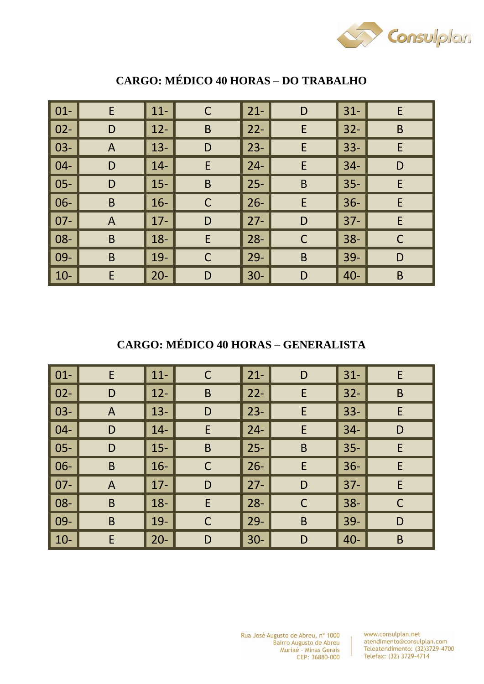

| $01 -$ | E              | $11 -$ | C           | $21 -$ | D           | $31 -$ | E           |
|--------|----------------|--------|-------------|--------|-------------|--------|-------------|
| $02 -$ | D              | $12 -$ | $\mathsf B$ | $22 -$ | E           | $32 -$ | B           |
| $03 -$ | $\mathsf{A}$   | $13 -$ | D           | $23 -$ | E           | $33 -$ | E           |
| $04 -$ | D              | $14 -$ | E           | $24 -$ | E           | $34-$  | D           |
| $05 -$ | D              | $15 -$ | B           | $25 -$ | B           | $35 -$ | E           |
| $06 -$ | $\mathsf B$    | $16-$  | $\mathsf C$ | $26 -$ | E           | $36 -$ | E           |
| $07 -$ | $\overline{A}$ | $17 -$ | D           | $27 -$ | D           | $37 -$ | E           |
| 08-    | $\mathsf B$    | $18 -$ | E           | $28 -$ | $\mathsf C$ | $38 -$ | $\mathsf C$ |
| 09-    | B              | $19-$  | $\mathsf C$ | $29 -$ | B           | $39 -$ | D           |
| $10-$  | E              | $20 -$ | D           | $30 -$ | D           | $40 -$ | $\mathsf B$ |

## **CARGO: MÉDICO 40 HORAS – DO TRABALHO**

## **CARGO: MÉDICO 40 HORAS – GENERALISTA**

| $\vert$ 01- | E              | $11-$  | C           | $21 -$ | D            | $31 -$ | E           |
|-------------|----------------|--------|-------------|--------|--------------|--------|-------------|
| $\vert$ 02- | D              | $12 -$ | $\mathsf B$ | $22 -$ | E            | $32 -$ | $\mathsf B$ |
| $\vert$ 03- | A              | $13 -$ | D           | $23 -$ | E            | $33 -$ | E           |
| $ 04-$      | D              | $14 -$ | E           | $24 -$ | E            | $34-$  | D           |
| $\vert$ 05- | D              | $15 -$ | $\mathsf B$ | $25 -$ | $\mathsf B$  | $35 -$ | E           |
| $\vert$ 06- | $\mathsf B$    | $16-$  | $\mathsf C$ | $26 -$ | E            | $36 -$ | E           |
| $\mid$ 07-  | $\overline{A}$ | $17 -$ | D           | $27 -$ | D            | $37 -$ | E           |
| $\vert$ 08- | B              | $18 -$ | E           | $28 -$ | $\mathsf{C}$ | $38 -$ | C           |
| $\mid$ 09-  | B              | $19-$  | $\mathsf C$ | $29 -$ | B            | $39 -$ | D           |
| $10-$       | E              | $20 -$ | D           | $30-$  | D            | $40 -$ | $\mathsf B$ |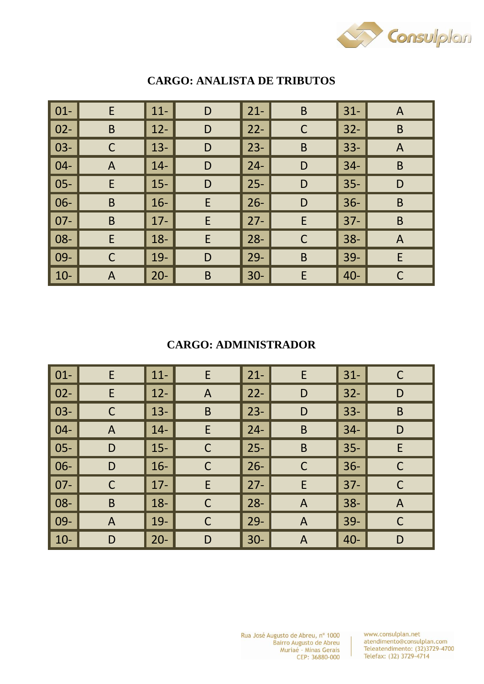

| $01 -$ | E           | $11 -$ | D | $21 -$ | B           | $ 31-$ | $\mathsf{A}$   |
|--------|-------------|--------|---|--------|-------------|--------|----------------|
| $02 -$ | B           | $12 -$ | D | $22 -$ | $\mathsf C$ | $ 32-$ | $\mathsf B$    |
| $03 -$ | C           | $13 -$ | D | $23 -$ | $\mathsf B$ | $33 -$ | $\overline{A}$ |
| $04 -$ | A           | $14-$  | D | $24 -$ | D           | $34-$  | B              |
| $05 -$ | E           | $15 -$ | D | $25 -$ | D           | 35-    | D              |
| $06 -$ | B           | $16-$  | E | $26 -$ | D           | $36 -$ | B              |
| $07 -$ | B           | $17 -$ | E | $27 -$ | E           | 37-    | $\mathsf B$    |
| 08-    | E           | $18 -$ | E | $28 -$ | $\mathsf C$ | $ 38-$ | $\overline{A}$ |
| 09-    | $\mathsf C$ | $19-$  | D | $29 -$ | B           | 39-    | E              |
| $10-$  | A           | $20 -$ | B | $30 -$ | E           | $40 -$ | $\mathsf C$    |

#### **CARGO: ANALISTA DE TRIBUTOS**

## **CARGO: ADMINISTRADOR**

| $01-$  | E            | $11 -$ | E            | $21 -$ | E              | $31 -$ | C            |
|--------|--------------|--------|--------------|--------|----------------|--------|--------------|
| $02 -$ | E            | $12 -$ | $\mathsf{A}$ | $22 -$ | D              | $32 -$ | ${\sf D}$    |
| $03 -$ | $\mathsf C$  | $13 -$ | $\mathsf B$  | $23 -$ | D              | $33 -$ | $\mathsf B$  |
| $04 -$ | A            | $14-$  | E            | $24 -$ | $\mathsf B$    | $34-$  | D            |
| $05 -$ | D            | $15 -$ | $\mathsf C$  | $25 -$ | B              | $35 -$ | E            |
| 06-    | D            | $16-$  | $\mathsf C$  | $26 -$ | $\mathsf C$    | $36 -$ | $\mathsf C$  |
| $07 -$ | $\mathsf C$  | $17 -$ | E            | $27 -$ | E              | $37 -$ | $\mathsf C$  |
| 08-    | B            | $18 -$ | $\mathsf{C}$ | $28 -$ | $\overline{A}$ | $38 -$ | $\mathsf{A}$ |
| 09-    | $\mathsf{A}$ | $19-$  | $\mathsf C$  | $29 -$ | $\mathsf{A}$   | $39 -$ | $\mathsf C$  |
| $10-$  | D            | $20 -$ | D            | $30-$  | $\mathsf{A}$   | $40 -$ | D            |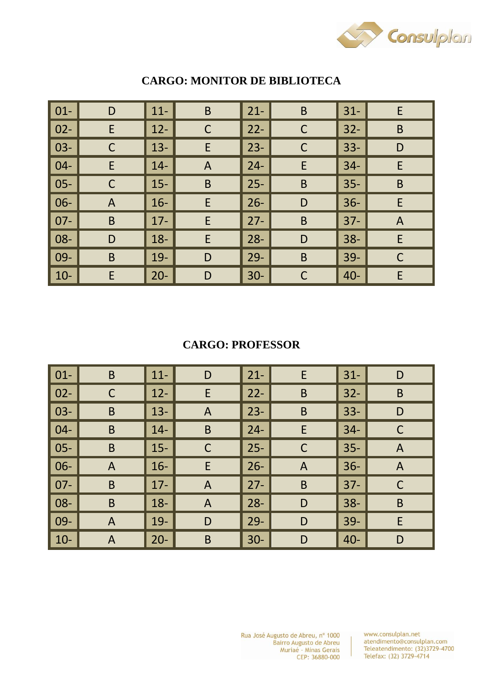

| $01 -$ | D            | $11 -$ | B            | $21 -$ | $\mathsf B$ | $31 -$ | E              |
|--------|--------------|--------|--------------|--------|-------------|--------|----------------|
| $02 -$ | E            | $12 -$ | $\mathsf C$  | $22 -$ | $\mathsf C$ | $32 -$ | $\mathsf B$    |
| $03 -$ | C            | $13 -$ | E            | $23 -$ | $\mathsf C$ | $33 -$ | D              |
| $04 -$ | E            | $14 -$ | $\mathsf{A}$ | $24 -$ | E           | $34-$  | E              |
| $05 -$ | $\mathsf C$  | $15 -$ | $\mathsf B$  | $25 -$ | B           | $35 -$ | $\mathsf B$    |
| $06 -$ | $\mathsf{A}$ | $16 -$ | E            | $26 -$ | D           | $36 -$ | E              |
| $07 -$ | B            | $17 -$ | E            | $27 -$ | B           | $37 -$ | $\overline{A}$ |
| 08-    | D            | $18 -$ | E            | $28 -$ | D           | $38 -$ | E              |
| 09-    | B            | $19 -$ | D            | $29 -$ | $\mathsf B$ | $39 -$ | $\mathsf C$    |
| $10-$  | E            | $20 -$ | D            | $30-$  | $\mathsf C$ | $40 -$ | E              |

#### **CARGO: MONITOR DE BIBLIOTECA**

## **CARGO: PROFESSOR**

| $01 -$ | B              | $11 -$ | D              | $21 -$ | E            | $31 -$ | D              |
|--------|----------------|--------|----------------|--------|--------------|--------|----------------|
| $02 -$ | $\mathsf C$    | $12 -$ | E              | $22 -$ | $\mathsf B$  | $32 -$ | $\mathsf B$    |
| $03 -$ | B              | $13 -$ | $\mathsf{A}$   | $23 -$ | $\mathsf B$  | $33 -$ | D              |
| $04 -$ | B              | $14 -$ | B              | $24 -$ | E            | $34 -$ | $\mathsf C$    |
| $05 -$ | B              | $15 -$ | $\mathsf C$    | $25 -$ | $\mathsf{C}$ | $35 -$ | $\mathsf{A}$   |
| 06-    | $\overline{A}$ | $16-$  | E              | $26 -$ | $\mathsf{A}$ | $36 -$ | $\overline{A}$ |
| $07 -$ | B              | $17 -$ | $\overline{A}$ | $27 -$ | B            | $37 -$ | $\mathsf C$    |
| 08-    | B              | $18 -$ | $\mathsf{A}$   | $28 -$ | D            | $38 -$ | $\mathsf B$    |
| 09-    | $\mathsf{A}$   | $19-$  | D              | $29 -$ | D            | $39 -$ | E              |
| $10-$  | A              | $20 -$ | $\mathsf B$    | $30-$  | D            | $40 -$ | D              |

www.consulplan.net atendimento@consulplan.com<br>Teleatendimento: (32)3729-4700 Telefax: (32) 3729-4714

 $\mathbf{r}$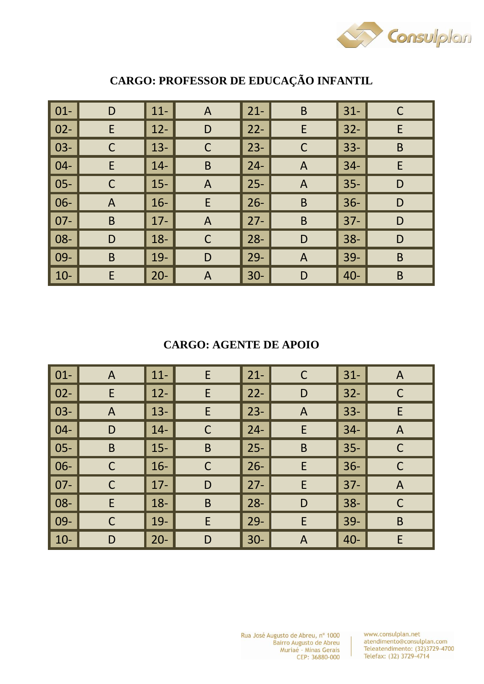

| $01 -$ | D            | $11 -$ | $\mathsf{A}$   | $21 -$ | $\mathsf B$    | $31 -$ | C           |
|--------|--------------|--------|----------------|--------|----------------|--------|-------------|
| $02 -$ | E            | $12 -$ | D              | $22 -$ | E              | $32 -$ | E           |
| $03 -$ | $\mathsf C$  | $13 -$ | $\mathsf{C}$   | $23 -$ | $\mathsf C$    | $33 -$ | $\mathsf B$ |
| $04 -$ | E            | $14 -$ | $\mathsf B$    | $24 -$ | $\mathsf{A}$   | $34 -$ | E           |
| $05 -$ | $\mathsf C$  | $15 -$ | $\overline{A}$ | $25 -$ | $\mathsf{A}$   | $35 -$ | D           |
| $06 -$ | $\mathsf{A}$ | $16 -$ | E              | $26 -$ | $\mathsf B$    | $36 -$ | D           |
| $07 -$ | $\mathsf B$  | $17 -$ | $\overline{A}$ | $27 -$ | $\mathsf B$    | $37 -$ | D           |
| 08-    | D            | $18 -$ | $\mathsf{C}$   | $28 -$ | D              | $38 -$ | D           |
| 09-    | B            | $19-$  | D              | $29 -$ | $\overline{A}$ | $39 -$ | B           |
| $10-$  | E            | $20 -$ | $\overline{A}$ | $30-$  | D              | $40 -$ | B           |

# **CARGO: PROFESSOR DE EDUCAÇÃO INFANTIL**

## **CARGO: AGENTE DE APOIO**

| $01-$  | $\mathsf{A}$ | $11 -$ | E            | $21 -$ | $\mathsf C$  | $31 -$ | $\mathsf{A}$   |
|--------|--------------|--------|--------------|--------|--------------|--------|----------------|
| $02 -$ | E            | $12 -$ | E            | $22 -$ | D            | $32 -$ | $\mathsf{C}$   |
| $03 -$ | A            | $13 -$ | E            | $23 -$ | $\mathsf{A}$ | $33 -$ | E              |
| $04 -$ | D            | $14-$  | $\mathsf{C}$ | $24 -$ | E            | $34-$  | $\mathsf{A}$   |
| $05 -$ | $\mathsf B$  | $15 -$ | $\mathsf B$  | $25 -$ | $\mathsf B$  | $35 -$ | $\mathsf{C}$   |
| 06-    | $\mathsf C$  | $16-$  | $\mathsf C$  | $26 -$ | E            | $36 -$ | $\mathsf C$    |
| $07 -$ | $\mathsf C$  | $17 -$ | D            | $27 -$ | E            | $37 -$ | $\overline{A}$ |
| 08-    | E            | $18 -$ | $\mathsf B$  | $28 -$ | D            | $38 -$ | $\mathsf C$    |
| 09-    | C            | 19-    | E            | $29 -$ | E            | $39 -$ | $\mathsf B$    |
| $10-$  | D            | $20 -$ | D            | $30-$  | $\mathsf{A}$ | $40 -$ | E              |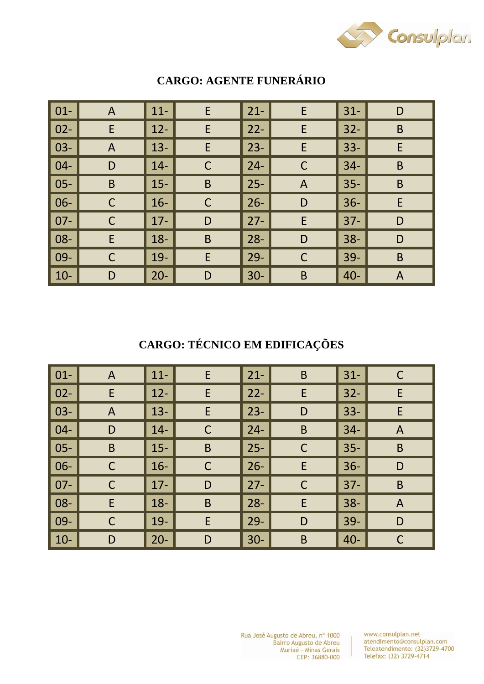

| $01 -$ | $\mathsf{A}$ | $11 -$ | E            | $21 -$ | E            | $31 -$ | D            |
|--------|--------------|--------|--------------|--------|--------------|--------|--------------|
| $02 -$ | E            | $12 -$ | E            | $22 -$ | E            | $32 -$ | $\mathsf B$  |
| $03 -$ | $\mathsf{A}$ | $13 -$ | E            | $23 -$ | E            | $33 -$ | E            |
| $04 -$ | D            | $14 -$ | $\mathsf{C}$ | $24 -$ | C            | $34 -$ | $\mathsf B$  |
| $05 -$ | B            | $15 -$ | B            | $25 -$ | $\mathsf{A}$ | $35 -$ | $\mathsf B$  |
| 06-    | C            | $16-$  | $\mathsf C$  | $26 -$ | D            | $36 -$ | E            |
| $07 -$ | C            | $17 -$ | D            | $27 -$ | E            | $37 -$ | D            |
| 08-    | E            | $18 -$ | $\mathsf B$  | $28 -$ | D            | $38 -$ | D            |
| 09-    | $\mathsf C$  | $19-$  | E            | $29 -$ | $\mathsf C$  | $39 -$ | $\mathsf B$  |
| $10-$  | D            | $20 -$ | D            | $30 -$ | B            | $40 -$ | $\mathsf{A}$ |

## **CARGO: AGENTE FUNERÁRIO**

# **CARGO: TÉCNICO EM EDIFICAÇÕES**

| $01-$  | $\mathsf{A}$ | $11 -$ | E           | $21 -$      | $\mathsf B$ | $31 -$ | C            |
|--------|--------------|--------|-------------|-------------|-------------|--------|--------------|
| $02 -$ | E            | $12 -$ | E           | $22 -$      | E           | $32 -$ | E            |
| $03 -$ | A            | $13 -$ | E           | $23 -$      | D           | $33 -$ | E            |
| $04 -$ | D            | $14-$  | C           | $24 -$      | $\mathsf B$ | $34-$  | $\mathsf{A}$ |
| $05 -$ | $\mathsf B$  | $15 -$ | $\mathsf B$ | $\vert$ 25- | $\mathsf C$ | $35 -$ | $\mathsf B$  |
| 06-    | $\mathsf C$  | $16-$  | $\mathsf C$ | $26 -$      | E           | $36 -$ | D            |
| $07 -$ | C            | $17 -$ | D           | $27 -$      | $\mathsf C$ | $37 -$ | B            |
| 08-    | E            | $18 -$ | $\mathsf B$ | $28 -$      | E           | $38 -$ | $\mathsf{A}$ |
| 09-    | $\mathsf C$  | $19-$  | E           | $29 -$      | D           | $39 -$ | D            |
| $10-$  | D            | $20 -$ | D           | $30-$       | B           | $40 -$ | $\mathsf C$  |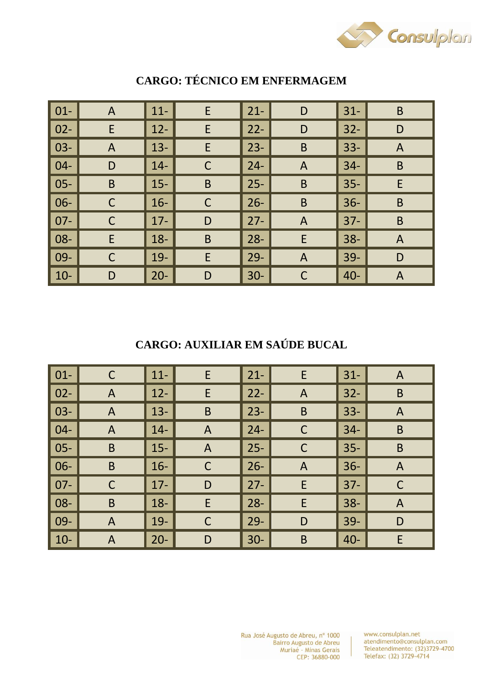

| $01 -$ | $\mathsf{A}$ | $11 -$ | $\mathsf E$ | $21 -$ | D              | $31 -$ | $\mathsf B$  |
|--------|--------------|--------|-------------|--------|----------------|--------|--------------|
| $02 -$ | E            | $12 -$ | E           | $22 -$ | D              | $32 -$ | D            |
| $03 -$ | $\mathsf{A}$ | $13 -$ | E           | $23 -$ | $\mathsf B$    | $33 -$ | $\mathsf{A}$ |
| $04 -$ | D            | $14 -$ | C           | $24 -$ | $\mathsf{A}$   | $34-$  | B            |
| $05 -$ | B            | $15 -$ | $\mathsf B$ | $25 -$ | B              | $35 -$ | E            |
| 06-    | $\mathsf C$  | $16 -$ | $\mathsf C$ | $26 -$ | B              | $36 -$ | B            |
| $07 -$ | $\mathsf C$  | $17 -$ | D           | $27 -$ | $\overline{A}$ | $37 -$ | B            |
| 08-    | E            | $18 -$ | $\mathsf B$ | $28 -$ | E              | $38 -$ | $\mathsf{A}$ |
| 09-    | $\mathsf C$  | $19-$  | E           | $29 -$ | $\mathsf{A}$   | $39-$  | D            |
| $10-$  | D            | $20 -$ | D           | $30 -$ | $\mathsf C$    | $40 -$ | $\mathsf{A}$ |

## **CARGO: TÉCNICO EM ENFERMAGEM**

**CARGO: AUXILIAR EM SAÚDE BUCAL** 

| $\vert$ 01- | C            | $11 -$ | E              | $21 -$ | E            | $31 -$ | A            |
|-------------|--------------|--------|----------------|--------|--------------|--------|--------------|
| $\vert$ 02- | $\mathsf{A}$ | $12 -$ | E              | $22 -$ | $\mathsf{A}$ | $32 -$ | $\mathsf B$  |
| $\vert$ 03- | A            | $13 -$ | $\mathsf B$    | $23 -$ | $\mathsf B$  | $33 -$ | $\mathsf{A}$ |
| $ 04-$      | A            | $14-$  | $\overline{A}$ | $24 -$ | C            | $34-$  | $\mathsf B$  |
| $\vert$ 05- | B            | $15 -$ | $\mathsf{A}$   | $25 -$ | $\mathsf{C}$ | $35 -$ | $\mathsf B$  |
| $\vert$ 06- | $\mathsf B$  | $16-$  | $\mathsf C$    | $26 -$ | $\mathsf{A}$ | $36 -$ | $\mathsf{A}$ |
| $\mid$ 07-  | $\mathsf C$  | $17 -$ | D              | $27 -$ | E            | $37 -$ | $\mathsf C$  |
| $ 08-$      | B            | $18 -$ | E              | $28 -$ | E            | $38 -$ | $\mathsf{A}$ |
| $\mid$ 09-  | A            | $19-$  | $\mathsf C$    | $29 -$ | D            | $39 -$ | D            |
| $10-$       | A            | $20 -$ | D              | $30-$  | $\mathsf B$  | $40 -$ | E            |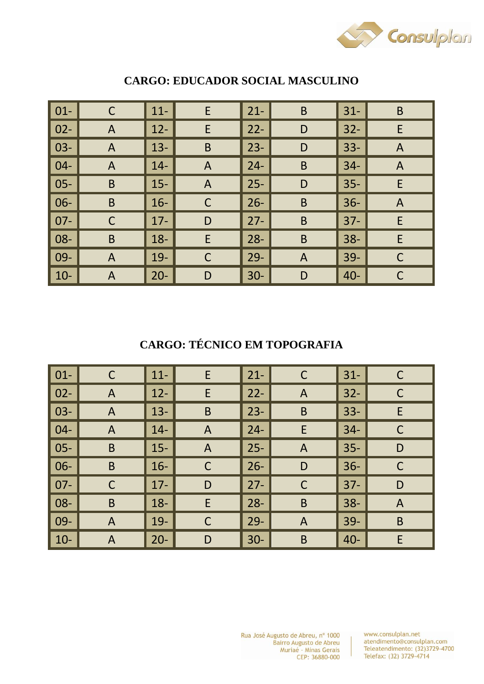

| $01 -$ | C            | $11 -$ | E            | $21 -$ | $\mathsf B$  | $31 -$ | B              |
|--------|--------------|--------|--------------|--------|--------------|--------|----------------|
| $02 -$ | $\mathsf{A}$ | $12 -$ | E            | $22 -$ | D            | $32 -$ | E              |
| $03 -$ | $\mathsf{A}$ | $13 -$ | $\mathsf B$  | $23 -$ | D            | $33 -$ | $\overline{A}$ |
| $04 -$ | $\mathsf{A}$ | $14 -$ | $\mathsf{A}$ | $24 -$ | $\mathsf B$  | $34-$  | $\overline{A}$ |
| $05 -$ | B            | $15 -$ | $\mathsf{A}$ | $25 -$ | D            | $35 -$ | E              |
| $06 -$ | $\mathsf B$  | $16-$  | $\mathsf C$  | $26 -$ | $\mathsf B$  | $36 -$ | $\overline{A}$ |
| $07 -$ | C            | $17 -$ | D            | $27 -$ | B            | $37 -$ | E              |
| 08-    | $\mathsf B$  | $18 -$ | E            | $28 -$ | $\mathsf B$  | $38 -$ | E              |
| 09-    | A            | $19-$  | $\mathsf C$  | $29 -$ | $\mathsf{A}$ | $39-$  | $\mathsf{C}$   |
| $10-$  | A            | $20 -$ | D            | $30-$  | D            | $40 -$ | C              |

#### **CARGO: EDUCADOR SOCIAL MASCULINO**

# **CARGO: TÉCNICO EM TOPOGRAFIA**

| $01-$  | C            | $11 -$ | E              | $21 -$      | $\mathsf C$    | $31 -$ | C              |
|--------|--------------|--------|----------------|-------------|----------------|--------|----------------|
| $02 -$ | $\mathsf{A}$ | $12 -$ | E              | $22 -$      | $\mathsf{A}$   | $32 -$ | $\mathsf C$    |
| $03 -$ | A            | $13 -$ | $\mathsf B$    | $23 -$      | B              | $33 -$ | E              |
| $04 -$ | A            | $14-$  | $\overline{A}$ | $24 -$      | E              | $34 -$ | $\mathsf C$    |
| $05 -$ | B            | $15 -$ | $\mathsf{A}$   | $\vert$ 25- | $\mathsf{A}$   | $35 -$ | D              |
| 06-    | $\mathsf B$  | $16-$  | $\mathsf{C}$   | $26 -$      | D              | $36 -$ | $\mathsf C$    |
| $07 -$ | $\mathsf C$  | $17 -$ | D              | $27 -$      | $\mathsf C$    | $37 -$ | D              |
| 08-    | B            | $18 -$ | E              | $28 -$      | B              | $38 -$ | $\overline{A}$ |
| 09-    | A            | $19-$  | $\mathsf C$    | $29 -$      | $\overline{A}$ | $39 -$ | $\sf B$        |
| $10-$  | A            | $20 -$ | D              | $30-$       | B              | $40 -$ | E              |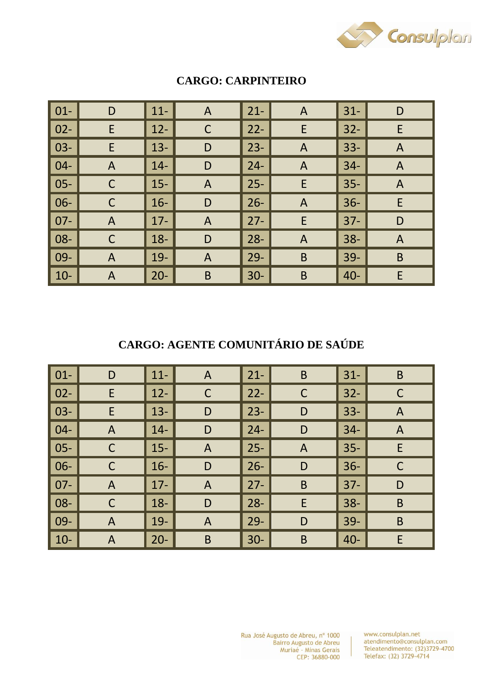

| $01 -$ | D              | $11 -$ | $\mathsf{A}$   | $21 -$ | $\mathsf{A}$ | $ 31-$ | D              |
|--------|----------------|--------|----------------|--------|--------------|--------|----------------|
| $02 -$ | E              | $12 -$ | $\mathsf C$    | $22 -$ | E            | $32 -$ | E              |
| $03 -$ | E              | $13 -$ | D              | $23 -$ | $\mathsf{A}$ | $33 -$ | $\mathsf{A}$   |
| $04 -$ | $\mathsf{A}$   | $14 -$ | D              | $24 -$ | $\mathsf{A}$ | $34-$  | $\overline{A}$ |
| $05 -$ | $\mathsf{C}$   | $15 -$ | $\mathsf{A}$   | $25 -$ | E            | 35-    | $\mathsf{A}$   |
| $06 -$ | C              | $16-$  | D              | $26 -$ | $\mathsf{A}$ | $ 36-$ | E              |
| $07 -$ | $\overline{A}$ | $17 -$ | $\overline{A}$ | $27 -$ | E            | $ 37-$ | D              |
| 08-    | $\mathsf C$    | $18 -$ | D              | $28 -$ | $\mathsf{A}$ | $ 38-$ | $\overline{A}$ |
| 09-    | $\mathsf{A}$   | $19-$  | $\mathsf{A}$   | $29 -$ | B            | 39-    | $\mathsf B$    |
| $10-$  | A              | $20 -$ | B              | $30-$  | B            | $40 -$ | E              |

#### **CARGO: CARPINTEIRO**

**CARGO: AGENTE COMUNITÁRIO DE SAÚDE** 

| $\vert$ 01- | D              | $11 -$ | A              | $21 -$ | B            | $31 -$ | B            |
|-------------|----------------|--------|----------------|--------|--------------|--------|--------------|
| $\vert$ 02- | E              | $12 -$ | $\mathsf C$    | $22 -$ | $\mathsf C$  | $32 -$ | $\mathsf C$  |
| $\vert$ 03- | E              | $13 -$ | D              | $23 -$ | D            | $33 -$ | $\mathsf{A}$ |
| $ 04-$      | $\overline{A}$ | $14 -$ | D              | $24 -$ | D            | $34 -$ | $\mathsf{A}$ |
| $ 05-$      | $\mathsf C$    | $15 -$ | $\overline{A}$ | $25 -$ | $\mathsf{A}$ | $35 -$ | E            |
| $\vert$ 06- | $\mathsf C$    | $16-$  | D              | $26 -$ | D            | $36 -$ | $\mathsf C$  |
| $\mid$ 07-  | $\overline{A}$ | $17 -$ | $\overline{A}$ | $27 -$ | B            | $37 -$ | D            |
| $ 08-$      | C              | $18 -$ | D              | $28 -$ | E            | $38 -$ | $\mathsf B$  |
| $\mid$ 09-  | A              | $19-$  | $\mathsf{A}$   | $29 -$ | D            | $39 -$ | $\sf B$      |
| $10-$       | A              | $20 -$ | B              | $30-$  | $\mathsf B$  | $40 -$ | E            |

www.consulplan.net atendimento@consulplan.com<br>Teleatendimento: (32)3729-4700 Telefax: (32) 3729-4714

 $\mathbf{r}$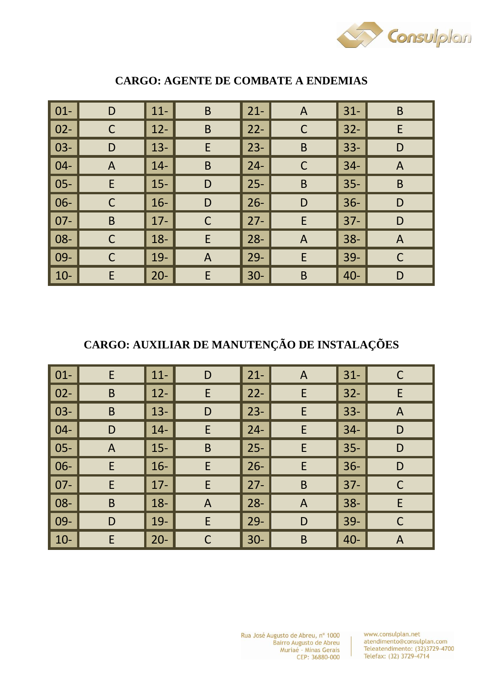

| $01 -$ | D              | $11 -$ | $\mathsf B$  | $21 -$ | $\mathsf{A}$ | $31 -$ | B              |
|--------|----------------|--------|--------------|--------|--------------|--------|----------------|
| $02 -$ | $\mathsf C$    | $12 -$ | $\sf B$      | $22 -$ | $\mathsf C$  | $32 -$ | E              |
| $03 -$ | D              | $13 -$ | E            | $23 -$ | $\mathsf B$  | $33 -$ | D              |
| $04 -$ | $\overline{A}$ | $14-$  | $\mathsf B$  | $24 -$ | $\mathsf{C}$ | $34-$  | $\overline{A}$ |
| $05 -$ | E              | $15 -$ | D            | $25 -$ | B            | $35 -$ | B              |
| 06-    | $\mathsf C$    | $16 -$ | D            | $26 -$ | D            | $36 -$ | D              |
| $07 -$ | B              | $17 -$ | $\mathsf C$  | $27 -$ | E            | $37 -$ | D              |
| 08-    | $\mathsf C$    | $18 -$ | E            | $28 -$ | $\mathsf{A}$ | $38 -$ | $\mathsf{A}$   |
| 09-    | $\mathsf C$    | $19-$  | $\mathsf{A}$ | $29 -$ | E            | $39-$  | $\mathsf{C}$   |
| $10-$  | E              | $20 -$ | E            | $30-$  | B            | $40 -$ | D              |

#### **CARGO: AGENTE DE COMBATE A ENDEMIAS**

# **CARGO: AUXILIAR DE MANUTENÇÃO DE INSTALAÇÕES**

| $\vert$ 01- | E            | $11-$  | D            | $21 -$ | A            | $31 -$ | C              |
|-------------|--------------|--------|--------------|--------|--------------|--------|----------------|
| $\vert$ 02- | $\mathsf B$  | $12 -$ | E            | $22 -$ | E            | $32 -$ | E              |
| $\vert$ 03- | B            | $13 -$ | D            | $23 -$ | E            | $33 -$ | $\mathsf{A}$   |
| $ 04-$      | D            | $14-$  | E            | $24 -$ | E            | $34 -$ | D              |
| $\vert$ 05- | $\mathsf{A}$ | $15 -$ | $\mathsf B$  | $25 -$ | E            | $35 -$ | D              |
| $\vert$ 06- | E            | $16-$  | E            | $26 -$ | E            | $36 -$ | D              |
| $\mid$ 07-  | E            | $17 -$ | E            | $27 -$ | B            | $37 -$ | $\mathsf C$    |
| $\vert$ 08- | B            | $18 -$ | $\mathsf{A}$ | $28 -$ | $\mathsf{A}$ | $38 -$ | E              |
| $\mid$ 09-  | D            | $19-$  | E            | $29 -$ | D            | $39 -$ | $\mathsf C$    |
| $10-$       | E            | $20 -$ | $\subset$    | $30-$  | $\mathsf B$  | $40 -$ | $\overline{A}$ |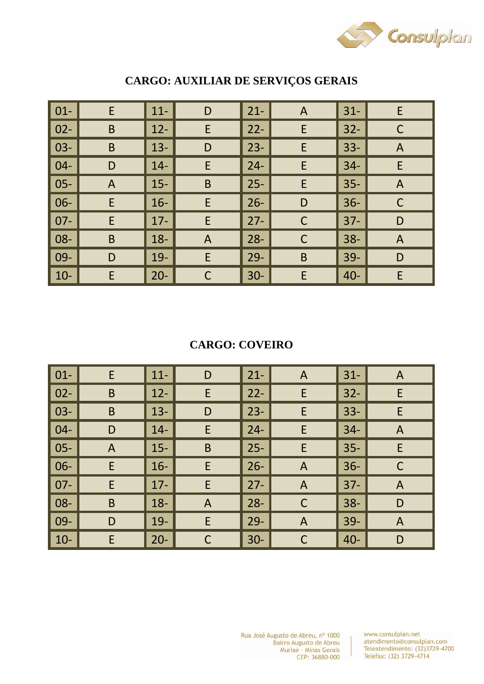

| $01 -$ | E              | $11 -$ | D            | $21 -$ | $\mathsf{A}$ | $31 -$ | E              |
|--------|----------------|--------|--------------|--------|--------------|--------|----------------|
| $02 -$ | B              | $12 -$ | $\mathsf E$  | $22 -$ | E            | $32 -$ | $\mathsf C$    |
| $03 -$ | $\mathsf B$    | $13 -$ | D            | $23 -$ | E            | $33 -$ | $\overline{A}$ |
| $04 -$ | D              | $14 -$ | E            | $24 -$ | E            | $34-$  | E              |
| $05 -$ | $\overline{A}$ | $15 -$ | $\mathsf B$  | $25 -$ | E            | $35 -$ | $\mathsf{A}$   |
| 06-    | E              | $16-$  | E            | $26 -$ | D            | $36 -$ | $\mathsf C$    |
| $07 -$ | E              | $17 -$ | E            | $27 -$ | $\mathsf C$  | $37 -$ | D              |
| 08-    | $\mathsf B$    | $18 -$ | $\mathsf{A}$ | $28 -$ | $\mathsf C$  | $38 -$ | $\mathsf{A}$   |
| 09-    | D              | $19-$  | E            | $29 -$ | B            | $39-$  | D              |
| $10-$  | E              | $20 -$ | $\mathsf C$  | $30 -$ | E            | $40 -$ | E              |

# **CARGO: AUXILIAR DE SERVIÇOS GERAIS**

## **CARGO: COVEIRO**

| $01 -$ | E            | $11 -$ | D            | $21 -$ | $\mathsf{A}$ | $31 -$ | A              |
|--------|--------------|--------|--------------|--------|--------------|--------|----------------|
| $02 -$ | B            | $12 -$ | E            | $22 -$ | E            | $32 -$ | E              |
| $03 -$ | B            | $13 -$ | D            | $23 -$ | E            | $33 -$ | E              |
| $04 -$ | D            | $14 -$ | E            | $24 -$ | E            | $34-$  | $\overline{A}$ |
| $05 -$ | $\mathsf{A}$ | $15 -$ | B            | $25 -$ | E            | $35 -$ | E              |
| 06-    | E            | $16-$  | E            | $26 -$ | $\mathsf{A}$ | $36 -$ | $\mathsf C$    |
| $07 -$ | E            | $17 -$ | E            | $27 -$ | $\mathsf{A}$ | $37 -$ | $\mathsf{A}$   |
| 08-    | B            | $18 -$ | $\mathsf{A}$ | $28 -$ | $\mathsf{C}$ | $38 -$ | D              |
| 09-    | D            | 19-    | E            | $29 -$ | $\mathsf{A}$ | $39 -$ | $\overline{A}$ |
| $10-$  | E            | $20 -$ | C            | $30-$  | C            | $40 -$ | D              |

www.consulplan.net atendimento@consulplan.com<br>Teleatendimento: (32)3729-4700 Telefax: (32) 3729-4714

 $\mathbb{R}$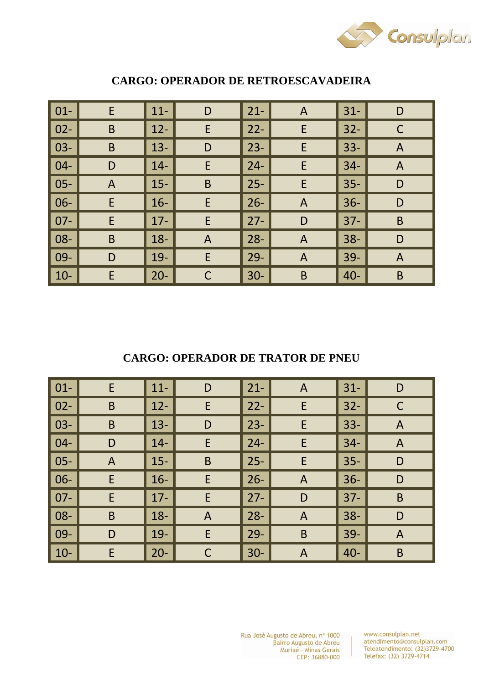

| $01 -$ | E              | $11 -$ | D              | $21 -$ | $\mathsf{A}$ | $31 -$ | D              |
|--------|----------------|--------|----------------|--------|--------------|--------|----------------|
| $02 -$ | $\mathsf B$    | $12 -$ | $\mathsf E$    | $22 -$ | E            | $32 -$ | $\mathsf C$    |
| $03 -$ | $\mathsf B$    | $13 -$ | D              | $23 -$ | E            | $33 -$ | $\overline{A}$ |
| $04 -$ | D              | $14 -$ | E              | $24 -$ | E            | $34 -$ | $\overline{A}$ |
| $05 -$ | $\overline{A}$ | $15 -$ | $\mathsf B$    | $25 -$ | E            | $35 -$ | D              |
| $06 -$ | E              | $16-$  | E              | $26 -$ | $\mathsf{A}$ | $36 -$ | D              |
| $07 -$ | E              | $17 -$ | E              | $27 -$ | D            | $37 -$ | $\mathsf B$    |
| 08-    | $\mathsf B$    | $18 -$ | $\overline{A}$ | $28 -$ | $\mathsf{A}$ | $38 -$ | D              |
| 09-    | D              | $19-$  | E              | $29 -$ | $\mathsf{A}$ | $39 -$ | $\mathsf{A}$   |
| $10-$  | E              | $20 -$ | C              | $30-$  | B            | $40 -$ | $\mathsf B$    |

#### **CARGO: OPERADOR DE RETROESCAVADEIRA**

**CARGO: OPERADOR DE TRATOR DE PNEU** 

| $\vert$ 01-  | E            | $11 -$ | D              | $21 -$ | $\mathsf{A}$ | $31 -$ | D              |
|--------------|--------------|--------|----------------|--------|--------------|--------|----------------|
| $\vert$ 02-  | B            | $12 -$ | E              | $22 -$ | E            | $32 -$ | C              |
| $\vert$ 03-  | $\mathsf B$  | $13 -$ | D              | $23 -$ | E            | $33 -$ | $\mathsf{A}$   |
| $\vert 04 -$ | D            | $14-$  | E              | $24 -$ | E            | $34-$  | $\overline{A}$ |
| $\vert$ 05-  | $\mathsf{A}$ | $15 -$ | $\mathsf B$    | $25 -$ | E            | $35 -$ | D              |
| $\vert$ 06-  | E            | $16-$  | E              | $26 -$ | $\mathsf{A}$ | $36 -$ | D              |
| $\vert$ 07-  | E            | $17 -$ | E              | $27 -$ | D            | $37 -$ | $\mathsf B$    |
| $\vert$ 08-  | B            | $18 -$ | $\overline{A}$ | $28 -$ | $\mathsf{A}$ | $38 -$ | D              |
| $\vert$ 09-  | D            | $19-$  | E              | $29 -$ | B            | $39 -$ | $\mathsf{A}$   |
| $\vert$ 10-  | E            | $20 -$ | $\mathsf{C}$   | $30-$  | $\mathsf{A}$ | $40 -$ | $\mathsf B$    |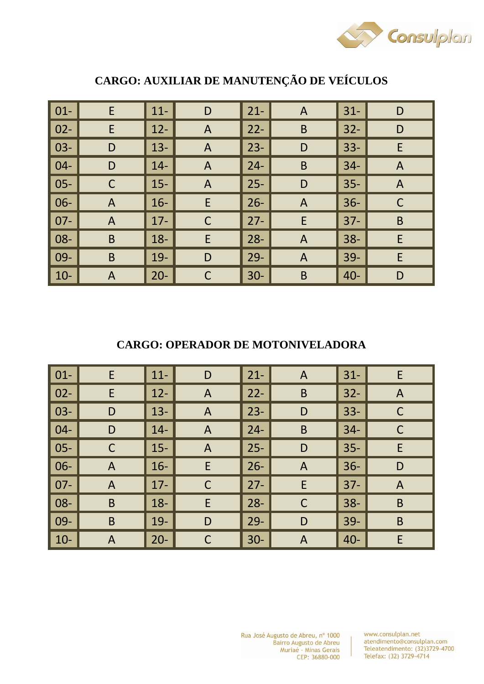

| $01 -$ | E              | $11 -$ | D            | $21 -$ | A            | $31 -$ | D              |
|--------|----------------|--------|--------------|--------|--------------|--------|----------------|
| $02 -$ | E              | $12 -$ | $\mathsf{A}$ | $22 -$ | B            | $32 -$ | D              |
| $03 -$ | D              | $13 -$ | $\mathsf{A}$ | $23 -$ | D            | $33 -$ | E              |
| $04 -$ | D              | $14 -$ | $\mathsf{A}$ | $24 -$ | B            | $34-$  | $\overline{A}$ |
| $05 -$ | $\mathsf C$    | $15 -$ | $\mathsf{A}$ | $25 -$ | D            | $35 -$ | $\overline{A}$ |
| $06 -$ | $\overline{A}$ | $16 -$ | E            | $26 -$ | $\mathsf{A}$ | $36 -$ | C              |
| $07 -$ | $\overline{A}$ | $17 -$ | $\mathsf C$  | $27 -$ | E            | $37 -$ | $\mathsf B$    |
| 08-    | $\mathsf B$    | $18 -$ | $\mathsf E$  | $28 -$ | $\mathsf{A}$ | $38 -$ | E              |
| 09-    | B              | $19 -$ | D            | $29 -$ | $\mathsf{A}$ | $39 -$ | E              |
| $10-$  | $\overline{A}$ | $20 -$ | $\mathsf C$  | $30-$  | B            | $40 -$ | D              |

# **CARGO: AUXILIAR DE MANUTENÇÃO DE VEÍCULOS**

## **CARGO: OPERADOR DE MOTONIVELADORA**

| $\vert$ 01- | E              | $11-$  | D              | $21 -$ | $\mathsf{A}$ | $31 -$ | E                         |
|-------------|----------------|--------|----------------|--------|--------------|--------|---------------------------|
| $\vert$ 02- | E              | $12 -$ | $\mathsf{A}$   | $22 -$ | $\mathsf B$  | $32 -$ | $\boldsymbol{\mathsf{A}}$ |
| $\vert$ 03- | D              | $13 -$ | $\mathsf{A}$   | $23 -$ | D            | $33 -$ | $\mathsf C$               |
| $ 04-$      | D              | $14 -$ | $\overline{A}$ | $24 -$ | $\mathsf B$  | $34 -$ | C                         |
| $\vert$ 05- | $\mathsf C$    | $15 -$ | $\mathsf{A}$   | $25 -$ | D            | $35 -$ | E                         |
| $\vert$ 06- | A              | $16-$  | E              | $26 -$ | $\mathsf{A}$ | $36 -$ | D                         |
| $\mid$ 07-  | $\overline{A}$ | $17 -$ | $\mathsf{C}$   | $27 -$ | E            | $37 -$ | $\overline{A}$            |
| $ 08-$      | B              | $18 -$ | E              | $28 -$ | $\mathsf{C}$ | $38 -$ | $\mathsf B$               |
| $\mid$ 09-  | B              | $19-$  | D              | $29 -$ | D            | $39 -$ | $\sf B$                   |
| $10-$       | A              | $20 -$ | $\Gamma$       | $30-$  | $\mathsf{A}$ | $40 -$ | E                         |